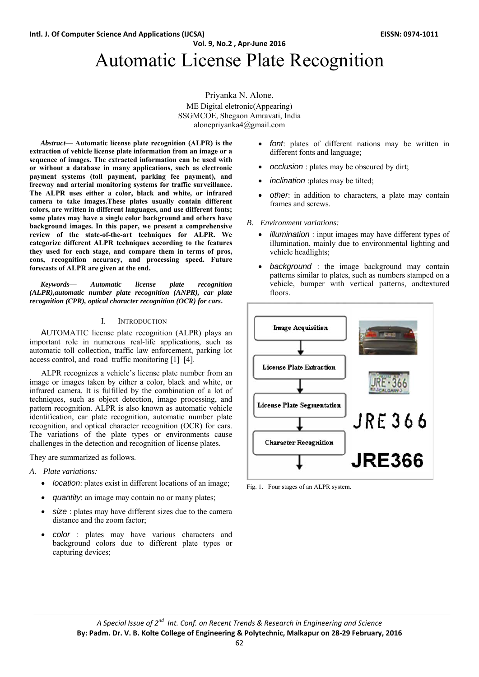**Vol. 9, No.2 , Apr‐June 2016**

# Automatic License Plate Recognition

Priyanka N. Alone. ME Digital eletronic(Appearing) SSGMCOE, Shegaon Amravati, India alonepriyanka4@gmail.com

*Abstract***— Automatic license plate recognition (ALPR) is the extraction of vehicle license plate information from an image or a sequence of images. The extracted information can be used with or without a database in many applications, such as electronic payment systems (toll payment, parking fee payment), and freeway and arterial monitoring systems for traffic surveillance. The ALPR uses either a color, black and white, or infrared camera to take images.These plates usually contain different colors, are written in different languages, and use different fonts; some plates may have a single color background and others have background images. In this paper, we present a comprehensive review of the state-of-the-art techniques for ALPR. We categorize different ALPR techniques according to the features they used for each stage, and compare them in terms of pros, cons, recognition accuracy, and processing speed. Future forecasts of ALPR are given at the end.** 

*Keywords— Automatic license plate recognition (ALPR),automatic number plate recognition (ANPR), car plate recognition (CPR), optical character recognition (OCR) for cars***.** 

## I. INTRODUCTION

AUTOMATIC license plate recognition (ALPR) plays an important role in numerous real-life applications, such as automatic toll collection, traffic law enforcement, parking lot access control, and road traffic monitoring [1]–[4].

ALPR recognizes a vehicle's license plate number from an image or images taken by either a color, black and white, or infrared camera. It is fulfilled by the combination of a lot of techniques, such as object detection, image processing, and pattern recognition. ALPR is also known as automatic vehicle identification, car plate recognition, automatic number plate recognition, and optical character recognition (OCR) for cars. The variations of the plate types or environments cause challenges in the detection and recognition of license plates.

They are summarized as follows.

- *A. Plate variations:* 
	- *location*: plates exist in different locations of an image;
	- *quantity*: an image may contain no or many plates;
	- *size* : plates may have different sizes due to the camera distance and the zoom factor;
	- *color* : plates may have various characters and background colors due to different plate types or capturing devices;
- *font*: plates of different nations may be written in different fonts and language;
- *occlusion* : plates may be obscured by dirt;
- *inclination* :plates may be tilted;
- *other*: in addition to characters, a plate may contain frames and screws.
- *B. Environment variations:* 
	- *illumination* : input images may have different types of illumination, mainly due to environmental lighting and vehicle headlights;
	- *background* : the image background may contain patterns similar to plates, such as numbers stamped on a vehicle, bumper with vertical patterns, andtextured floors.



Fig. 1. Four stages of an ALPR system.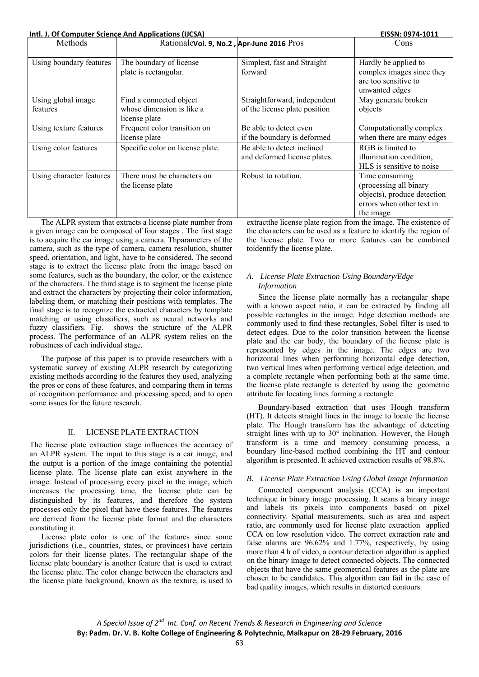**Intl. J. Of Computer Science And Applications (IJCSA) EISSN: 0974‐1011**

| Methods                  | Rationalevol. 9, No.2, Apr-June 2016 Pros |                               | Cons                        |
|--------------------------|-------------------------------------------|-------------------------------|-----------------------------|
|                          |                                           |                               |                             |
| Using boundary features  | The boundary of license                   | Simplest, fast and Straight   | Hardly be applied to        |
|                          | plate is rectangular.                     | forward                       | complex images since they   |
|                          |                                           |                               | are too sensitive to        |
|                          |                                           |                               | unwanted edges              |
| Using global image       | Find a connected object                   | Straightforward, independent  | May generate broken         |
| features                 | whose dimension is like a                 | of the license plate position | objects                     |
|                          | license plate                             |                               |                             |
| Using texture features   | Frequent color transition on              | Be able to detect even        | Computationally complex     |
|                          | license plate                             | if the boundary is deformed   | when there are many edges   |
| Using color features     | Specific color on license plate.          | Be able to detect inclined    | RGB is limited to           |
|                          |                                           | and deformed license plates.  | illumination condition,     |
|                          |                                           |                               | HLS is sensitive to noise   |
| Using character features | There must be characters on               | Robust to rotation.           | Time consuming              |
|                          | the license plate                         |                               | (processing all binary      |
|                          |                                           |                               | objects), produce detection |
|                          |                                           |                               | errors when other text in   |
|                          |                                           |                               | the image                   |

The ALPR system that extracts a license plate number from a given image can be composed of four stages . The first stage is to acquire the car image using a camera. Thparameters of the camera, such as the type of camera, camera resolution, shutter speed, orientation, and light, have to be considered. The second stage is to extract the license plate from the image based on some features, such as the boundary, the color, or the existence of the characters. The third stage is to segment the license plate and extract the characters by projecting their color information, labeling them, or matching their positions with templates. The final stage is to recognize the extracted characters by template matching or using classifiers, such as neural networks and fuzzy classifiers. Fig. shows the structure of the ALPR process. The performance of an ALPR system relies on the robustness of each individual stage.

The purpose of this paper is to provide researchers with a systematic survey of existing ALPR research by categorizing existing methods according to the features they used, analyzing the pros or cons of these features, and comparing them in terms of recognition performance and processing speed, and to open some issues for the future research.

## II. LICENSE PLATE EXTRACTION

The license plate extraction stage influences the accuracy of an ALPR system. The input to this stage is a car image, and the output is a portion of the image containing the potential license plate. The license plate can exist anywhere in the image. Instead of processing every pixel in the image, which increases the processing time, the license plate can be distinguished by its features, and therefore the system processes only the pixel that have these features. The features are derived from the license plate format and the characters constituting it.

License plate color is one of the features since some jurisdictions (i.e., countries, states, or provinces) have certain colors for their license plates. The rectangular shape of the license plate boundary is another feature that is used to extract the license plate. The color change between the characters and the license plate background, known as the texture, is used to extractthe license plate region from the image. The existence of the characters can be used as a feature to identify the region of the license plate. Two or more features can be combined toidentify the license plate.

## *A. License Plate Extraction Using Boundary/Edge Information*

Since the license plate normally has a rectangular shape with a known aspect ratio, it can be extracted by finding all possible rectangles in the image. Edge detection methods are commonly used to find these rectangles, Sobel filter is used to detect edges. Due to the color transition between the license plate and the car body, the boundary of the license plate is represented by edges in the image. The edges are two horizontal lines when performing horizontal edge detection, two vertical lines when performing vertical edge detection, and a complete rectangle when performing both at the same time. the license plate rectangle is detected by using the geometric attribute for locating lines forming a rectangle.

Boundary-based extraction that uses Hough transform (HT). It detects straight lines in the image to locate the license plate. The Hough transform has the advantage of detecting straight lines with up to 30° inclination. However, the Hough transform is a time and memory consuming process, a boundary line-based method combining the HT and contour algorithm is presented. It achieved extraction results of 98.8%.

## *B. License Plate Extraction Using Global Image Information*

Connected component analysis (CCA) is an important technique in binary image processing. It scans a binary image and labels its pixels into components based on pixel connectivity. Spatial measurements, such as area and aspect ratio, are commonly used for license plate extraction applied CCA on low resolution video. The correct extraction rate and false alarms are 96.62% and 1.77%, respectively, by using more than 4 h of video, a contour detection algorithm is applied on the binary image to detect connected objects. The connected objects that have the same geometrical features as the plate are chosen to be candidates. This algorithm can fail in the case of bad quality images, which results in distorted contours.

*A Special Issue of 2nd Int. Conf. on Recent Trends & Research in Engineering and Science* **By: Padm. Dr. V. B. Kolte College of Engineering & Polytechnic, Malkapur on 28‐29 February, 2016**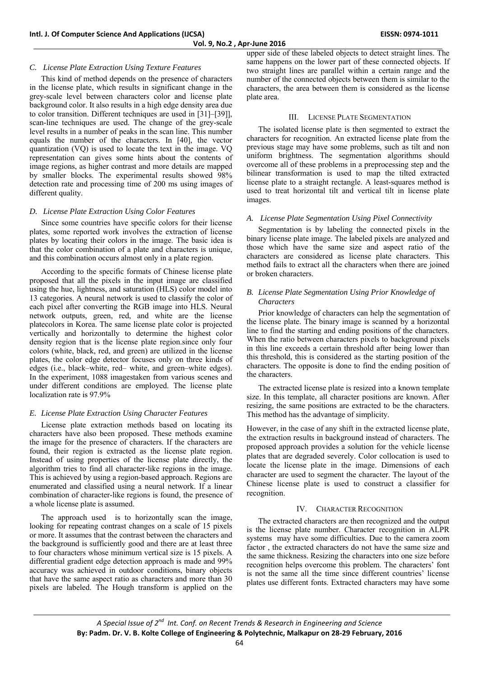## *C. License Plate Extraction Using Texture Features*

This kind of method depends on the presence of characters in the license plate, which results in significant change in the grey-scale level between characters color and license plate background color. It also results in a high edge density area due to color transition. Different techniques are used in [31]–[39]], scan-line techniques are used. The change of the grey-scale level results in a number of peaks in the scan line. This number equals the number of the characters. In [40], the vector quantization (VQ) is used to locate the text in the image. VQ representation can gives some hints about the contents of image regions, as higher contrast and more details are mapped by smaller blocks. The experimental results showed 98% detection rate and processing time of 200 ms using images of different quality.

## *D. License Plate Extraction Using Color Features*

Since some countries have specific colors for their license plates, some reported work involves the extraction of license plates by locating their colors in the image. The basic idea is that the color combination of a plate and characters is unique, and this combination occurs almost only in a plate region.

According to the specific formats of Chinese license plate proposed that all the pixels in the input image are classified using the hue, lightness, and saturation (HLS) color model into 13 categories. A neural network is used to classify the color of each pixel after converting the RGB image into HLS. Neural network outputs, green, red, and white are the license platecolors in Korea. The same license plate color is projected vertically and horizontally to determine the highest color density region that is the license plate region.since only four colors (white, black, red, and green) are utilized in the license plates, the color edge detector focuses only on three kinds of edges (i.e., black–white, red– white, and green–white edges). In the experiment, 1088 imagestaken from various scenes and under different conditions are employed. The license plate localization rate is 97.9%

#### *E. License Plate Extraction Using Character Features*

License plate extraction methods based on locating its characters have also been proposed. These methods examine the image for the presence of characters. If the characters are found, their region is extracted as the license plate region. Instead of using properties of the license plate directly, the algorithm tries to find all character-like regions in the image. This is achieved by using a region-based approach. Regions are enumerated and classified using a neural network. If a linear combination of character-like regions is found, the presence of a whole license plate is assumed.

The approach used is to horizontally scan the image, looking for repeating contrast changes on a scale of 15 pixels or more. It assumes that the contrast between the characters and the background is sufficiently good and there are at least three to four characters whose minimum vertical size is 15 pixels. A differential gradient edge detection approach is made and 99% accuracy was achieved in outdoor conditions, binary objects that have the same aspect ratio as characters and more than 30 pixels are labeled. The Hough transform is applied on the

upper side of these labeled objects to detect straight lines. The same happens on the lower part of these connected objects. If two straight lines are parallel within a certain range and the number of the connected objects between them is similar to the characters, the area between them is considered as the license plate area.

### III. LICENSE PLATE SEGMENTATION

The isolated license plate is then segmented to extract the characters for recognition. An extracted license plate from the previous stage may have some problems, such as tilt and non uniform brightness. The segmentation algorithms should overcome all of these problems in a preprocessing step and the bilinear transformation is used to map the tilted extracted license plate to a straight rectangle. A least-squares method is used to treat horizontal tilt and vertical tilt in license plate images.

### *A. License Plate Segmentation Using Pixel Connectivity*

Segmentation is by labeling the connected pixels in the binary license plate image. The labeled pixels are analyzed and those which have the same size and aspect ratio of the characters are considered as license plate characters. This method fails to extract all the characters when there are joined or broken characters.

#### *B. License Plate Segmentation Using Prior Knowledge of Characters*

Prior knowledge of characters can help the segmentation of the license plate. The binary image is scanned by a horizontal line to find the starting and ending positions of the characters. When the ratio between characters pixels to background pixels in this line exceeds a certain threshold after being lower than this threshold, this is considered as the starting position of the characters. The opposite is done to find the ending position of the characters.

The extracted license plate is resized into a known template size. In this template, all character positions are known. After resizing, the same positions are extracted to be the characters. This method has the advantage of simplicity.

However, in the case of any shift in the extracted license plate, the extraction results in background instead of characters. The proposed approach provides a solution for the vehicle license plates that are degraded severely. Color collocation is used to locate the license plate in the image. Dimensions of each character are used to segment the character. The layout of the Chinese license plate is used to construct a classifier for recognition.

#### IV. CHARACTER RECOGNITION

The extracted characters are then recognized and the output is the license plate number. Character recognition in ALPR systems may have some difficulties. Due to the camera zoom factor , the extracted characters do not have the same size and the same thickness. Resizing the characters into one size before recognition helps overcome this problem. The characters' font is not the same all the time since different countries' license plates use different fonts. Extracted characters may have some